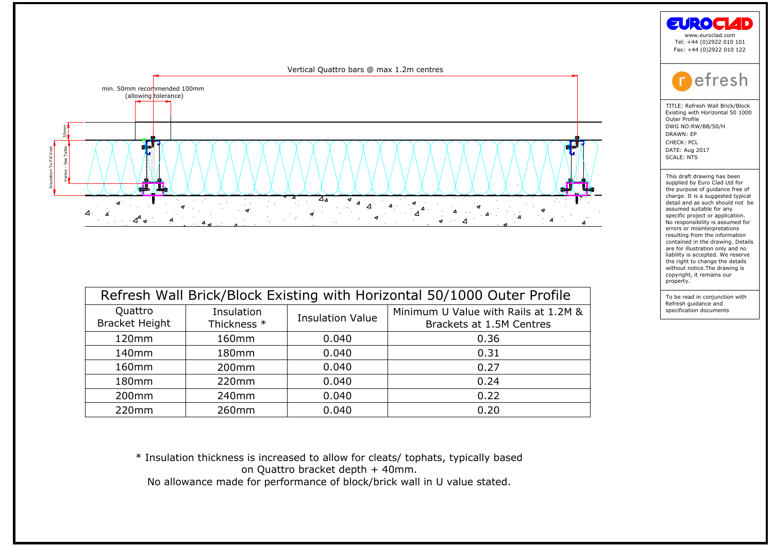

| Quattro<br><b>Bracket Height</b> | Insulation<br>Thickness * | <b>Insulation Value</b> | Refresh Wall Brick/Block Existing with Horizontal 50/1000 Outer Profile<br>Minimum U Value with Rails at 1.2M &<br>Brackets at 1.5M Centres |
|----------------------------------|---------------------------|-------------------------|---------------------------------------------------------------------------------------------------------------------------------------------|
| 120mm                            | 160mm                     | 0.040                   | 0.36                                                                                                                                        |
| 140 <sub>mm</sub>                | 180mm                     | 0.040                   | 0.31                                                                                                                                        |
| 160 <sub>mm</sub>                | 200 <sub>mm</sub>         | 0.040                   | 0.27                                                                                                                                        |
| 180 <sub>mm</sub>                | 220mm                     | 0.040                   | 0.24                                                                                                                                        |
| 200 <sub>mm</sub>                | 240 <sub>mm</sub>         | 0.040                   | 0.22                                                                                                                                        |
| 220mm                            | 260 <sub>mm</sub>         | 0.040                   | 0.20                                                                                                                                        |
|                                  |                           |                         |                                                                                                                                             |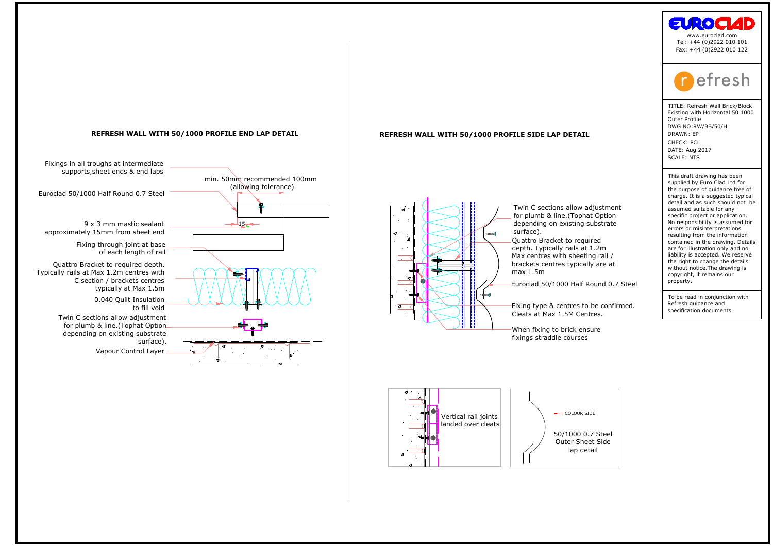

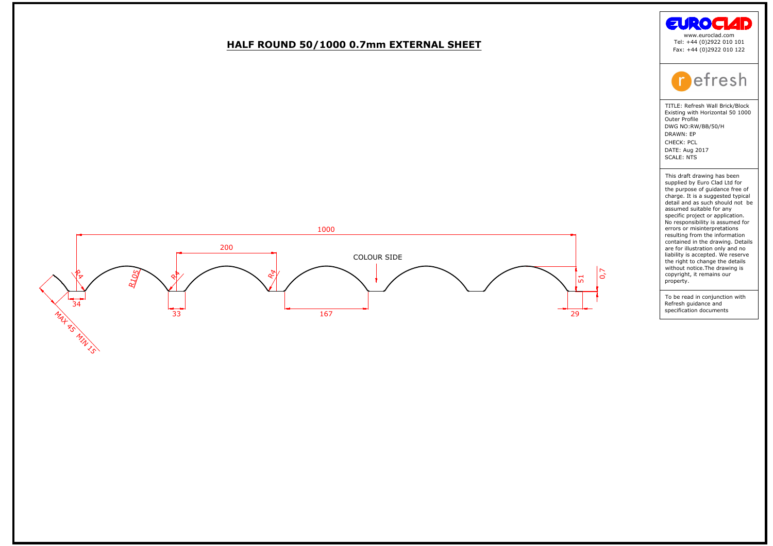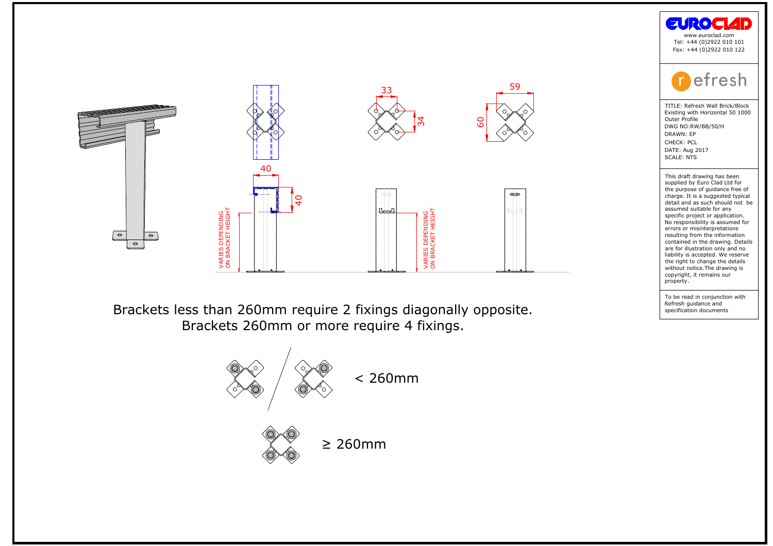





the purpose of guidance free compare of guidance free charge. It is a suggested typic<br>detail and as such should not<br>assumed suitable for any<br>conjunction project or application.<br>No responsibility is assumed ferrors or misin charge: it is a suggest<br>detail and as such shassumed suitable for<br>assumed suitable for applications of a proportion of<br>No responsibility is assement and the draw<br>contained in the draw<br>and in the draw without notice. The dr **Example 18 Control Control Control Control Control Control Control Control Control Control Control Control Control Control Control Control Control Control Control Control Control Control Control Control Control Control Co**